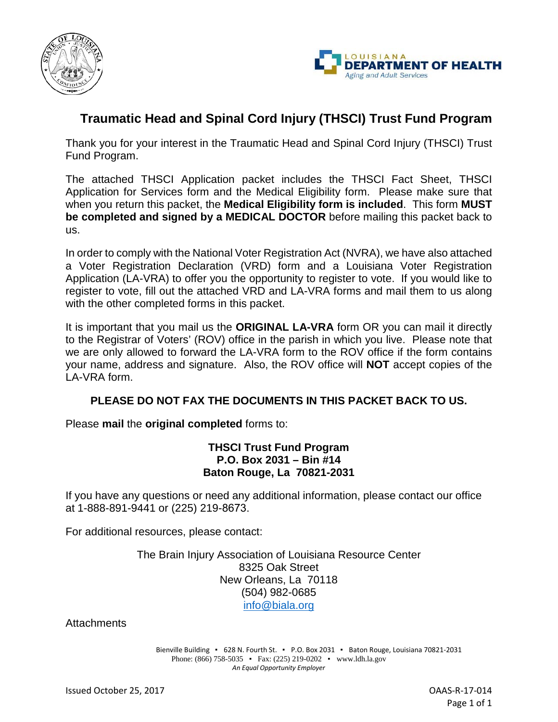



# **Traumatic Head and Spinal Cord Injury (THSCI) Trust Fund Program**

Thank you for your interest in the Traumatic Head and Spinal Cord Injury (THSCI) Trust Fund Program.

The attached THSCI Application packet includes the THSCI Fact Sheet, THSCI Application for Services form and the Medical Eligibility form. Please make sure that when you return this packet, the **Medical Eligibility form is included**. This form **MUST be completed and signed by a MEDICAL DOCTOR** before mailing this packet back to us.

In order to comply with the National Voter Registration Act (NVRA), we have also attached a Voter Registration Declaration (VRD) form and a Louisiana Voter Registration Application (LA-VRA) to offer you the opportunity to register to vote. If you would like to register to vote, fill out the attached VRD and LA-VRA forms and mail them to us along with the other completed forms in this packet.

It is important that you mail us the **ORIGINAL LA-VRA** form OR you can mail it directly to the Registrar of Voters' (ROV) office in the parish in which you live. Please note that we are only allowed to forward the LA-VRA form to the ROV office if the form contains your name, address and signature. Also, the ROV office will **NOT** accept copies of the LA-VRA form.

## **PLEASE DO NOT FAX THE DOCUMENTS IN THIS PACKET BACK TO US.**

Please **mail** the **original completed** forms to:

### **THSCI Trust Fund Program P.O. Box 2031 – Bin #14 Baton Rouge, La 70821-2031**

If you have any questions or need any additional information, please contact our office at 1-888-891-9441 or (225) 219-8673.

For additional resources, please contact:

The Brain Injury Association of Louisiana Resource Center 8325 Oak Street New Orleans, La 70118 (504) 982-0685 [info@biala.org](mailto:info@biala.org)

**Attachments** 

Bienville Building • 628 N. Fourth St. • P.O. Box 2031 • Baton Rouge, Louisiana 70821-2031 Phone: (866) 758-5035 • Fax: (225) 219-0202 • www.ldh.la.gov *An Equal Opportunity Employer*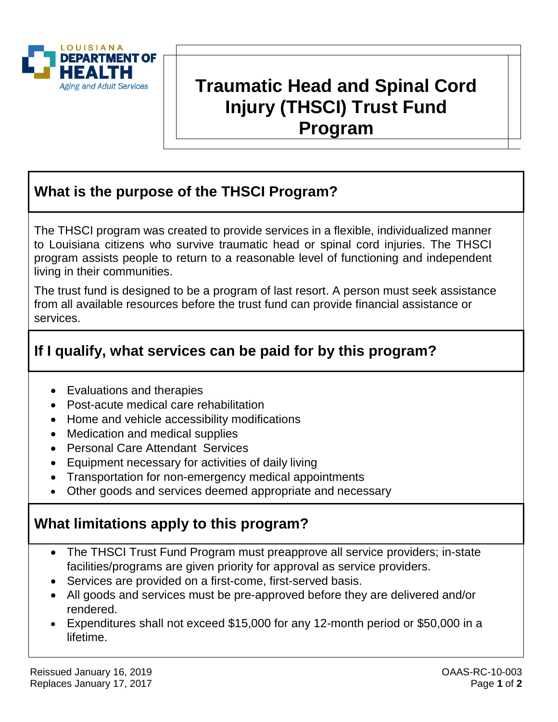

# **Traumatic Head and Spinal Cord Injury (THSCI) Trust Fund Program**

# **What is the purpose of the THSCI Program?**

The THSCI program was created to provide services in a flexible, individualized manner to Louisiana citizens who survive traumatic head or spinal cord injuries. The THSCI program assists people to return to a reasonable level of functioning and independent living in their communities.

The trust fund is designed to be a program of last resort. A person must seek assistance from all available resources before the trust fund can provide financial assistance or services.

# **If I qualify, what services can be paid for by this program?**

- Evaluations and therapies
- Post-acute medical care rehabilitation
- Home and vehicle accessibility modifications
- Medication and medical supplies
- Personal Care Attendant Services
- Equipment necessary for activities of daily living
- Transportation for non-emergency medical appointments
- Other goods and services deemed appropriate and necessary

# **What limitations apply to this program?**

- The THSCI Trust Fund Program must preapprove all service providers; in-state facilities/programs are given priority for approval as service providers.
- Services are provided on a first-come, first-served basis.
- All goods and services must be pre-approved before they are delivered and/or rendered.
- Expenditures shall not exceed \$15,000 for any 12-month period or \$50,000 in a lifetime.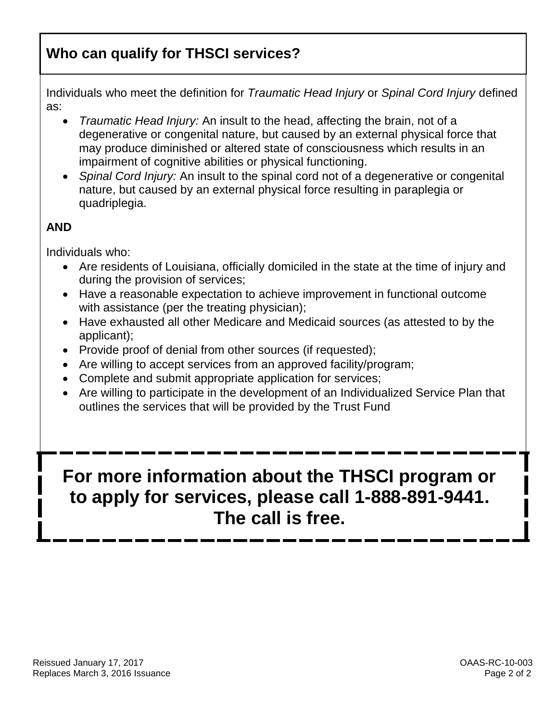# **Who can qualify for THSCI services?**

Individuals who meet the definition for *Traumatic Head Injury* or *Spinal Cord Injury* defined as:

- *Traumatic Head Injury:* An insult to the head, affecting the brain, not of a degenerative or congenital nature, but caused by an external physical force that may produce diminished or altered state of consciousness which results in an impairment of cognitive abilities or physical functioning.
- *Spinal Cord Injury:* An insult to the spinal cord not of a degenerative or congenital nature, but caused by an external physical force resulting in paraplegia or quadriplegia.

# **AND**

Individuals who:

- Are residents of Louisiana, officially domiciled in the state at the time of injury and during the provision of services;
- Have a reasonable expectation to achieve improvement in functional outcome with assistance (per the treating physician);
- Have exhausted all other Medicare and Medicaid sources (as attested to by the applicant);
- Provide proof of denial from other sources (if requested);
- Are willing to accept services from an approved facility/program;
- Complete and submit appropriate application for services;
- Are willing to participate in the development of an Individualized Service Plan that outlines the services that will be provided by the Trust Fund

# **For more information about the THSCI program or to apply for services, please call 1-888-891-9441. The call is free.**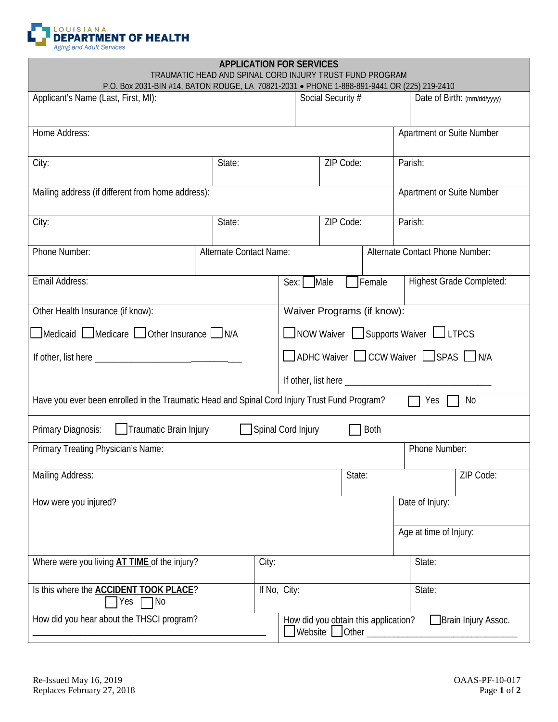

|                                                                                              | TRAUMATIC HEAD AND SPINAL CORD IN JURY TRUST FUND PROGRAM |                         | <b>APPLICATION FOR SERVICES</b>                             |                        |                                 |         |                           |                                 |
|----------------------------------------------------------------------------------------------|-----------------------------------------------------------|-------------------------|-------------------------------------------------------------|------------------------|---------------------------------|---------|---------------------------|---------------------------------|
| P.O. Box 2031-BIN #14, BATON ROUGE, LA 70821-2031 · PHONE 1-888-891-9441 OR (225) 219-2410   |                                                           |                         |                                                             |                        |                                 |         |                           |                                 |
| Applicant's Name (Last, First, MI):                                                          |                                                           |                         |                                                             | Social Security #      |                                 |         |                           | Date of Birth: (mm/dd/yyyy)     |
|                                                                                              |                                                           |                         |                                                             |                        |                                 |         |                           |                                 |
| Home Address:                                                                                |                                                           |                         |                                                             |                        |                                 |         | Apartment or Suite Number |                                 |
|                                                                                              |                                                           |                         |                                                             |                        |                                 |         |                           |                                 |
|                                                                                              | City:<br>State:                                           |                         |                                                             | ZIP Code:              |                                 |         | Parish:                   |                                 |
| Mailing address (if different from home address):                                            |                                                           |                         |                                                             |                        |                                 |         |                           | Apartment or Suite Number       |
|                                                                                              |                                                           |                         |                                                             |                        |                                 |         |                           |                                 |
| City:                                                                                        | State:                                                    |                         | ZIP Code:                                                   |                        |                                 | Parish: |                           |                                 |
|                                                                                              |                                                           |                         |                                                             |                        |                                 |         |                           |                                 |
| Phone Number:                                                                                |                                                           | Alternate Contact Name: |                                                             |                        | Alternate Contact Phone Number: |         |                           |                                 |
|                                                                                              |                                                           |                         |                                                             |                        |                                 |         |                           |                                 |
| Email Address:                                                                               |                                                           |                         | Sex: Male                                                   |                        | <b>TFemale</b>                  |         |                           | <b>Highest Grade Completed:</b> |
|                                                                                              |                                                           |                         |                                                             |                        |                                 |         |                           |                                 |
| Other Health Insurance (if know):                                                            |                                                           |                         | Waiver Programs (if know):                                  |                        |                                 |         |                           |                                 |
| Medicaid Medicare Other Insurance N/A                                                        |                                                           |                         | $\Box$ NOW Waiver $\Box$ Supports Waiver $\Box$ LTPCS       |                        |                                 |         |                           |                                 |
|                                                                                              |                                                           |                         | $\Box$ ADHC Waiver $\Box$ CCW Waiver $\Box$ SPAS $\Box$ N/A |                        |                                 |         |                           |                                 |
|                                                                                              |                                                           |                         |                                                             |                        |                                 |         |                           |                                 |
|                                                                                              |                                                           |                         |                                                             |                        |                                 |         |                           |                                 |
| Have you ever been enrolled in the Traumatic Head and Spinal Cord Injury Trust Fund Program? |                                                           |                         |                                                             |                        |                                 |         | Yes                       | No                              |
| Traumatic Brain Injury<br>Primary Diagnosis:                                                 |                                                           |                         | Spinal Cord Injury                                          |                        | Both                            |         |                           |                                 |
| Primary Treating Physician's Name:                                                           |                                                           |                         |                                                             |                        |                                 |         | Phone Number:             |                                 |
|                                                                                              |                                                           |                         |                                                             |                        |                                 |         |                           |                                 |
| <b>Mailing Address:</b>                                                                      |                                                           |                         |                                                             |                        | State:                          |         |                           | ZIP Code:                       |
| How were you injured?                                                                        |                                                           |                         |                                                             |                        |                                 |         | Date of Injury:           |                                 |
|                                                                                              |                                                           |                         |                                                             |                        |                                 |         |                           |                                 |
|                                                                                              |                                                           |                         |                                                             |                        |                                 |         | Age at time of Injury:    |                                 |
|                                                                                              |                                                           |                         |                                                             |                        |                                 |         |                           |                                 |
| Where were you living AT TIME of the injury?                                                 |                                                           | City:                   |                                                             |                        |                                 |         | State:                    |                                 |
| Is this where the <b>ACCIDENT TOOK PLACE?</b>                                                |                                                           | If No, City:            |                                                             |                        |                                 |         | State:                    |                                 |
| Yes<br>N <sub>0</sub>                                                                        |                                                           |                         |                                                             |                        |                                 |         |                           |                                 |
| How did you hear about the THSCI program?                                                    |                                                           |                         | How did you obtain this application?                        |                        |                                 |         |                           | □ Brain Injury Assoc.           |
|                                                                                              |                                                           |                         |                                                             | <b>Website</b> □ Other |                                 |         |                           |                                 |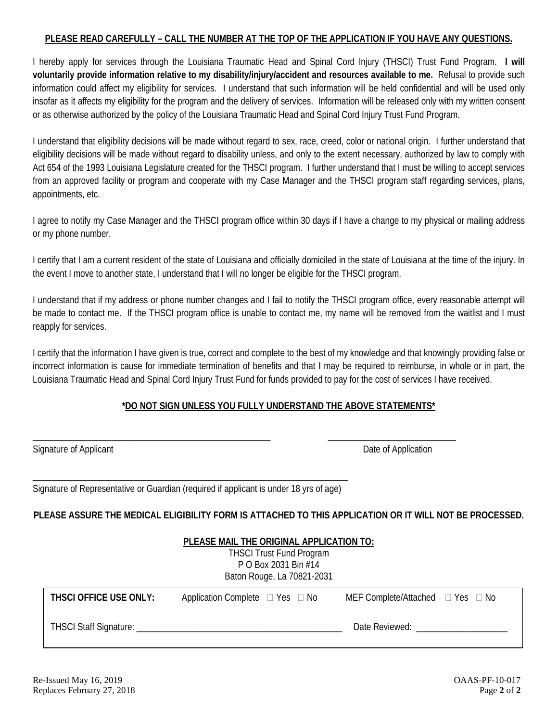### **PLEASE READ CAREFULLY – CALL THE NUMBER AT THE TOP OF THE APPLICATION IF YOU HAVE ANY QUESTIONS.**

I hereby apply for services through the Louisiana Traumatic Head and Spinal Cord Injury (THSCI) Trust Fund Program. **I will voluntarily provide information relative to my disability/injury/accident and resources available to me.** Refusal to provide such information could affect my eligibility for services. I understand that such information will be held confidential and will be used only insofar as it affects my eligibility for the program and the delivery of services. Information will be released only with my written consent or as otherwise authorized by the policy of the Louisiana Traumatic Head and Spinal Cord Injury Trust Fund Program.

I understand that eligibility decisions will be made without regard to sex, race, creed, color or national origin. I further understand that eligibility decisions will be made without regard to disability unless, and only to the extent necessary, authorized by law to comply with Act 654 of the 1993 Louisiana Legislature created for the THSCI program. I further understand that I must be willing to accept services from an approved facility or program and cooperate with my Case Manager and the THSCI program staff regarding services, plans, appointments, etc.

I agree to notify my Case Manager and the THSCI program office within 30 days if I have a change to my physical or mailing address or my phone number.

I certify that I am a current resident of the state of Louisiana and officially domiciled in the state of Louisiana at the time of the injury. In the event I move to another state, I understand that I will no longer be eligible for the THSCI program.

I understand that if my address or phone number changes and I fail to notify the THSCI program office, every reasonable attempt will be made to contact me. If the THSCI program office is unable to contact me, my name will be removed from the waitlist and I must reapply for services.

I certify that the information I have given is true, correct and complete to the best of my knowledge and that knowingly providing false or incorrect information is cause for immediate termination of benefits and that I may be required to reimburse, in whole or in part, the Louisiana Traumatic Head and Spinal Cord Injury Trust Fund for funds provided to pay for the cost of services I have received.

## **\*DO NOT SIGN UNLESS YOU FULLY UNDERSTAND THE ABOVE STATEMENTS\***

\_\_\_\_\_\_\_\_\_\_\_\_\_\_\_\_\_\_\_\_\_\_\_\_\_\_\_\_\_\_\_\_\_\_\_\_\_\_\_\_\_\_\_\_\_\_\_\_\_\_\_\_ \_\_\_\_\_\_\_\_\_\_\_\_\_\_\_\_\_\_\_\_\_\_\_\_\_\_\_\_

| Signature of Applicant |  |  |
|------------------------|--|--|
|                        |  |  |

Date of Application

\_\_\_\_\_\_\_\_\_\_\_\_\_\_\_\_\_\_\_\_\_\_\_\_\_\_\_\_\_\_\_\_\_\_\_\_\_\_\_\_\_\_\_\_\_\_\_\_\_\_\_\_\_\_\_\_\_\_\_\_\_\_\_\_\_\_\_\_\_ Signature of Representative or Guardian (required if applicant is under 18 yrs of age)

### **PLEASE ASSURE THE MEDICAL ELIGIBILITY FORM IS ATTACHED TO THIS APPLICATION OR IT WILL NOT BE PROCESSED.**

|                        | PLEASE MAIL THE ORIGINAL APPLICATION TO:<br><b>THSCI Trust Fund Program</b><br>P O Box 2031 Bin #14<br>Baton Rouge, La 70821-2031 |                                            |  |
|------------------------|-----------------------------------------------------------------------------------------------------------------------------------|--------------------------------------------|--|
| THSCI OFFICE USE ONLY: | Application Complete $\Box$ Yes $\Box$ No                                                                                         | MEF Complete/Attached $\Box$ Yes $\Box$ No |  |
|                        |                                                                                                                                   | Date Reviewed:                             |  |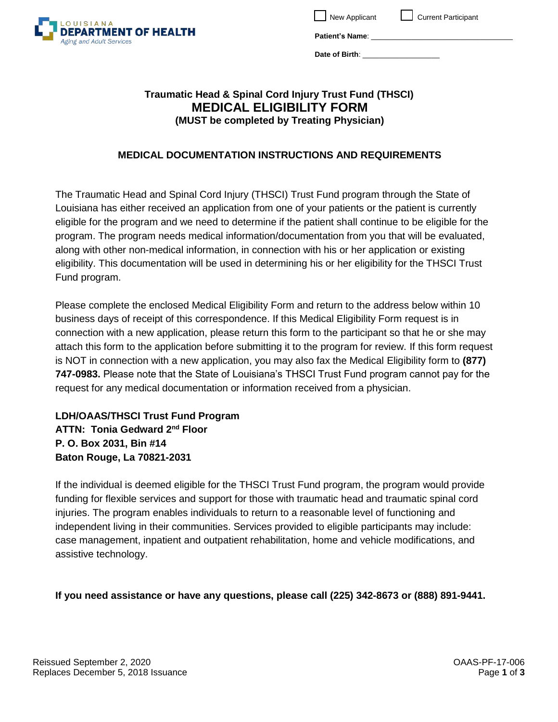

New Applicant Current Participant

**Patient's Name**: \_\_\_\_\_\_\_\_\_\_\_\_\_\_\_\_\_\_\_\_\_\_\_\_\_\_\_\_\_\_\_\_\_\_\_

Date of Birth:

# **Traumatic Head & Spinal Cord Injury Trust Fund (THSCI) MEDICAL ELIGIBILITY FORM (MUST be completed by Treating Physician)**

## **MEDICAL DOCUMENTATION INSTRUCTIONS AND REQUIREMENTS**

The Traumatic Head and Spinal Cord Injury (THSCI) Trust Fund program through the State of Louisiana has either received an application from one of your patients or the patient is currently eligible for the program and we need to determine if the patient shall continue to be eligible for the program. The program needs medical information/documentation from you that will be evaluated, along with other non-medical information, in connection with his or her application or existing eligibility. This documentation will be used in determining his or her eligibility for the THSCI Trust Fund program.

Please complete the enclosed Medical Eligibility Form and return to the address below within 10 business days of receipt of this correspondence. If this Medical Eligibility Form request is in connection with a new application, please return this form to the participant so that he or she may attach this form to the application before submitting it to the program for review. If this form request is NOT in connection with a new application, you may also fax the Medical Eligibility form to **(877) 747-0983.** Please note that the State of Louisiana's THSCI Trust Fund program cannot pay for the request for any medical documentation or information received from a physician.

**LDH/OAAS/THSCI Trust Fund Program ATTN: Tonia Gedward 2nd Floor P. O. Box 2031, Bin #14 Baton Rouge, La 70821-2031**

If the individual is deemed eligible for the THSCI Trust Fund program, the program would provide funding for flexible services and support for those with traumatic head and traumatic spinal cord injuries. The program enables individuals to return to a reasonable level of functioning and independent living in their communities. Services provided to eligible participants may include: case management, inpatient and outpatient rehabilitation, home and vehicle modifications, and assistive technology.

**If you need assistance or have any questions, please call (225) 342-8673 or (888) 891-9441.**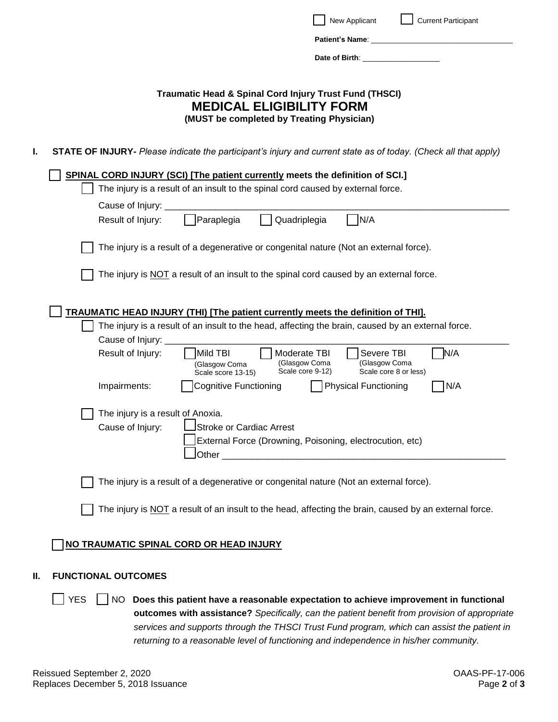|     | <b>Current Participant</b><br>New Applicant                                                                                                                                              |
|-----|------------------------------------------------------------------------------------------------------------------------------------------------------------------------------------------|
|     |                                                                                                                                                                                          |
|     | Date of Birth: <u>Date of Birth:</u>                                                                                                                                                     |
|     |                                                                                                                                                                                          |
|     | Traumatic Head & Spinal Cord Injury Trust Fund (THSCI)<br><b>MEDICAL ELIGIBILITY FORM</b><br>(MUST be completed by Treating Physician)                                                   |
| I.  | STATE OF INJURY- Please indicate the participant's injury and current state as of today. (Check all that apply)                                                                          |
|     | <b>SPINAL CORD INJURY (SCI) [The patient currently meets the definition of SCI.]</b>                                                                                                     |
|     | The injury is a result of an insult to the spinal cord caused by external force.                                                                                                         |
|     | Cause of Injury: __                                                                                                                                                                      |
|     | Quadriplegia<br>Paraplegia<br>N/A<br>Result of Injury:                                                                                                                                   |
|     | The injury is a result of a degenerative or congenital nature (Not an external force).                                                                                                   |
|     | The injury is NOT a result of an insult to the spinal cord caused by an external force.                                                                                                  |
|     | <b>TRAUMATIC HEAD INJURY (THI) [The patient currently meets the definition of THI].</b>                                                                                                  |
|     | The injury is a result of an insult to the head, affecting the brain, caused by an external force.                                                                                       |
|     | Cause of Injury:                                                                                                                                                                         |
|     | N/A<br>Mild TBI<br>Result of Injury:<br>Moderate TBI<br>Severe TBI<br>(Glasgow Coma<br>(Glasgow Coma<br>(Glasgow Coma<br>Scale core 9-12)<br>Scale core 8 or less)<br>Scale score 13-15) |
|     | Impairments:<br><b>Cognitive Functioning</b><br><b>Physical Functioning</b><br>N/A                                                                                                       |
|     | The injury is a result of Anoxia.                                                                                                                                                        |
|     | Stroke or Cardiac Arrest<br>Cause of Injury:                                                                                                                                             |
|     | External Force (Drowning, Poisoning, electrocution, etc)                                                                                                                                 |
|     |                                                                                                                                                                                          |
|     | The injury is a result of a degenerative or congenital nature (Not an external force).                                                                                                   |
|     | The injury is NOT a result of an insult to the head, affecting the brain, caused by an external force.                                                                                   |
|     | NO TRAUMATIC SPINAL CORD OR HEAD INJURY                                                                                                                                                  |
| II. | <b>FUNCTIONAL OUTCOMES</b>                                                                                                                                                               |

YESNO **Does this patient have a reasonable expectation to achieve improvement in functional outcomes with assistance?** *Specifically, can the patient benefit from provision of appropriate*  *services and supports through the THSCI Trust Fund program, which can assist the patient in returning to a reasonable level of functioning and independence in his/her community.*